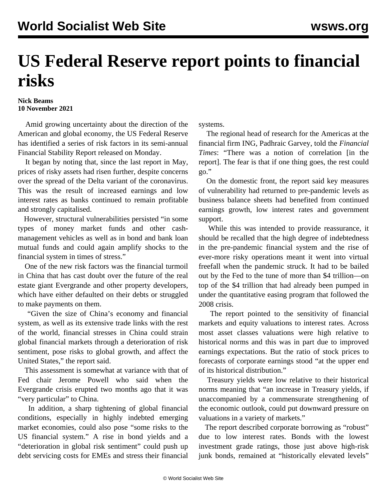## **US Federal Reserve report points to financial risks**

## **Nick Beams 10 November 2021**

 Amid growing uncertainty about the direction of the American and global economy, the US Federal Reserve has identified a series of risk factors in its semi-annual Financial Stability Report released on Monday.

 It began by noting that, since the last report in May, prices of risky assets had risen further, despite concerns over the spread of the Delta variant of the coronavirus. This was the result of increased earnings and low interest rates as banks continued to remain profitable and strongly capitalised.

 However, structural vulnerabilities persisted "in some types of money market funds and other cashmanagement vehicles as well as in bond and bank loan mutual funds and could again amplify shocks to the financial system in times of stress."

 One of the new risk factors was the financial turmoil in China that has cast doubt over the future of the real estate giant Evergrande and other property developers, which have either defaulted on their debts or struggled to make payments on them.

 "Given the size of China's economy and financial system, as well as its extensive trade links with the rest of the world, financial stresses in China could strain global financial markets through a deterioration of risk sentiment, pose risks to global growth, and affect the United States," the report said.

 This assessment is somewhat at variance with that of Fed chair Jerome Powell who said when the Evergrande crisis erupted two months ago that it was "very particular" to China.

 In addition, a sharp tightening of global financial conditions, especially in highly indebted emerging market economies, could also pose "some risks to the US financial system." A rise in bond yields and a "deterioration in global risk sentiment" could push up debt servicing costs for EMEs and stress their financial systems.

 The regional head of research for the Americas at the financial firm ING, Padhraic Garvey, told the *Financial Times*: "There was a notion of correlation [in the report]. The fear is that if one thing goes, the rest could go."

 On the domestic front, the report said key measures of vulnerability had returned to pre-pandemic levels as business balance sheets had benefited from continued earnings growth, low interest rates and government support.

 While this was intended to provide reassurance, it should be recalled that the high degree of indebtedness in the pre-pandemic financial system and the rise of ever-more risky operations meant it went into virtual freefall when the pandemic struck. It had to be bailed out by the Fed to the tune of more than \$4 trillion—on top of the \$4 trillion that had already been pumped in under the quantitative easing program that followed the 2008 crisis.

 The report pointed to the sensitivity of financial markets and equity valuations to interest rates. Across most asset classes valuations were high relative to historical norms and this was in part due to improved earnings expectations. But the ratio of stock prices to forecasts of corporate earnings stood "at the upper end of its historical distribution."

 Treasury yields were low relative to their historical norms meaning that "an increase in Treasury yields, if unaccompanied by a commensurate strengthening of the economic outlook, could put downward pressure on valuations in a variety of markets."

 The report described corporate borrowing as "robust" due to low interest rates. Bonds with the lowest investment grade ratings, those just above high-risk junk bonds, remained at "historically elevated levels"